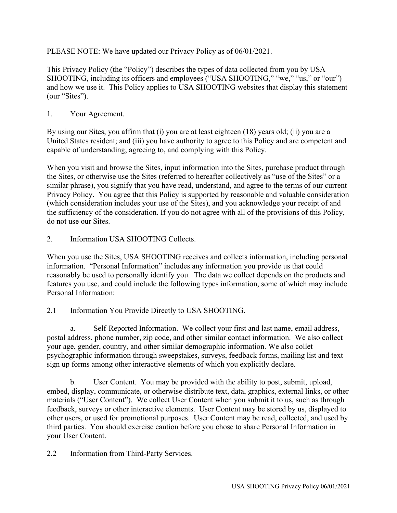PLEASE NOTE: We have updated our Privacy Policy as of 06/01/2021.

This Privacy Policy (the "Policy") describes the types of data collected from you by USA SHOOTING, including its officers and employees ("USA SHOOTING," "we," "us," or "our") and how we use it. This Policy applies to USA SHOOTING websites that display this statement (our "Sites").

## 1. Your Agreement.

By using our Sites, you affirm that (i) you are at least eighteen (18) years old; (ii) you are a United States resident; and (iii) you have authority to agree to this Policy and are competent and capable of understanding, agreeing to, and complying with this Policy.

When you visit and browse the Sites, input information into the Sites, purchase product through the Sites, or otherwise use the Sites (referred to hereafter collectively as "use of the Sites" or a similar phrase), you signify that you have read, understand, and agree to the terms of our current Privacy Policy. You agree that this Policy is supported by reasonable and valuable consideration (which consideration includes your use of the Sites), and you acknowledge your receipt of and the sufficiency of the consideration. If you do not agree with all of the provisions of this Policy, do not use our Sites.

2. Information USA SHOOTING Collects.

When you use the Sites, USA SHOOTING receives and collects information, including personal information. "Personal Information" includes any information you provide us that could reasonably be used to personally identify you. The data we collect depends on the products and features you use, and could include the following types information, some of which may include Personal Information:

# 2.1 Information You Provide Directly to USA SHOOTING.

a. Self-Reported Information. We collect your first and last name, email address, postal address, phone number, zip code, and other similar contact information. We also collect your age, gender, country, and other similar demographic information. We also collet psychographic information through sweepstakes, surveys, feedback forms, mailing list and text sign up forms among other interactive elements of which you explicitly declare.

b. User Content. You may be provided with the ability to post, submit, upload, embed, display, communicate, or otherwise distribute text, data, graphics, external links, or other materials ("User Content"). We collect User Content when you submit it to us, such as through feedback, surveys or other interactive elements. User Content may be stored by us, displayed to other users, or used for promotional purposes. User Content may be read, collected, and used by third parties. You should exercise caution before you chose to share Personal Information in your User Content.

2.2 Information from Third-Party Services.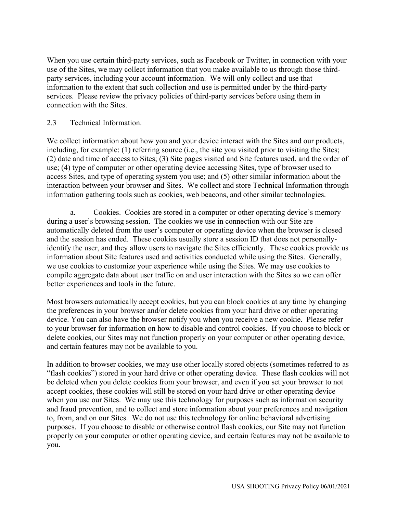When you use certain third-party services, such as Facebook or Twitter, in connection with your use of the Sites, we may collect information that you make available to us through those thirdparty services, including your account information. We will only collect and use that information to the extent that such collection and use is permitted under by the third-party services. Please review the privacy policies of third-party services before using them in connection with the Sites.

#### 2.3 Technical Information.

We collect information about how you and your device interact with the Sites and our products, including, for example: (1) referring source (i.e., the site you visited prior to visiting the Sites; (2) date and time of access to Sites; (3) Site pages visited and Site features used, and the order of use; (4) type of computer or other operating device accessing Sites, type of browser used to access Sites, and type of operating system you use; and (5) other similar information about the interaction between your browser and Sites. We collect and store Technical Information through information gathering tools such as cookies, web beacons, and other similar technologies.

a. Cookies. Cookies are stored in a computer or other operating device's memory during a user's browsing session. The cookies we use in connection with our Site are automatically deleted from the user's computer or operating device when the browser is closed and the session has ended. These cookies usually store a session ID that does not personallyidentify the user, and they allow users to navigate the Sites efficiently. These cookies provide us information about Site features used and activities conducted while using the Sites. Generally, we use cookies to customize your experience while using the Sites. We may use cookies to compile aggregate data about user traffic on and user interaction with the Sites so we can offer better experiences and tools in the future.

Most browsers automatically accept cookies, but you can block cookies at any time by changing the preferences in your browser and/or delete cookies from your hard drive or other operating device. You can also have the browser notify you when you receive a new cookie. Please refer to your browser for information on how to disable and control cookies. If you choose to block or delete cookies, our Sites may not function properly on your computer or other operating device, and certain features may not be available to you.

In addition to browser cookies, we may use other locally stored objects (sometimes referred to as "flash cookies") stored in your hard drive or other operating device. These flash cookies will not be deleted when you delete cookies from your browser, and even if you set your browser to not accept cookies, these cookies will still be stored on your hard drive or other operating device when you use our Sites. We may use this technology for purposes such as information security and fraud prevention, and to collect and store information about your preferences and navigation to, from, and on our Sites. We do not use this technology for online behavioral advertising purposes. If you choose to disable or otherwise control flash cookies, our Site may not function properly on your computer or other operating device, and certain features may not be available to you.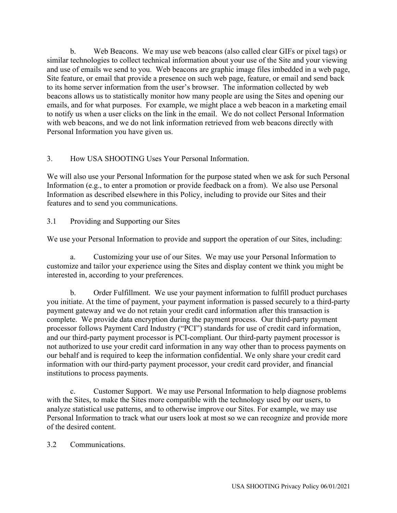b. Web Beacons. We may use web beacons (also called clear GIFs or pixel tags) or similar technologies to collect technical information about your use of the Site and your viewing and use of emails we send to you. Web beacons are graphic image files imbedded in a web page, Site feature, or email that provide a presence on such web page, feature, or email and send back to its home server information from the user's browser. The information collected by web beacons allows us to statistically monitor how many people are using the Sites and opening our emails, and for what purposes. For example, we might place a web beacon in a marketing email to notify us when a user clicks on the link in the email. We do not collect Personal Information with web beacons, and we do not link information retrieved from web beacons directly with Personal Information you have given us.

### 3. How USA SHOOTING Uses Your Personal Information.

We will also use your Personal Information for the purpose stated when we ask for such Personal Information (e.g., to enter a promotion or provide feedback on a from). We also use Personal Information as described elsewhere in this Policy, including to provide our Sites and their features and to send you communications.

3.1 Providing and Supporting our Sites

We use your Personal Information to provide and support the operation of our Sites, including:

a. Customizing your use of our Sites. We may use your Personal Information to customize and tailor your experience using the Sites and display content we think you might be interested in, according to your preferences.

b. Order Fulfillment. We use your payment information to fulfill product purchases you initiate. At the time of payment, your payment information is passed securely to a third-party payment gateway and we do not retain your credit card information after this transaction is complete. We provide data encryption during the payment process. Our third-party payment processor follows Payment Card Industry ("PCI") standards for use of credit card information, and our third-party payment processor is PCI-compliant. Our third-party payment processor is not authorized to use your credit card information in any way other than to process payments on our behalf and is required to keep the information confidential. We only share your credit card information with our third-party payment processor, your credit card provider, and financial institutions to process payments.

c. Customer Support. We may use Personal Information to help diagnose problems with the Sites, to make the Sites more compatible with the technology used by our users, to analyze statistical use patterns, and to otherwise improve our Sites. For example, we may use Personal Information to track what our users look at most so we can recognize and provide more of the desired content.

3.2 Communications.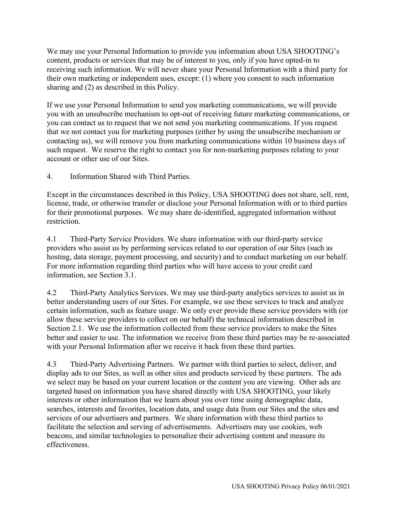We may use your Personal Information to provide you information about USA SHOOTING's content, products or services that may be of interest to you, only if you have opted-in to receiving such information. We will never share your Personal Information with a third party for their own marketing or independent uses, except: (1) where you consent to such information sharing and (2) as described in this Policy.

If we use your Personal Information to send you marketing communications, we will provide you with an unsubscribe mechanism to opt-out of receiving future marketing communications, or you can contact us to request that we not send you marketing communications. If you request that we not contact you for marketing purposes (either by using the unsubscribe mechanism or contacting us), we will remove you from marketing communications within 10 business days of such request. We reserve the right to contact you for non-marketing purposes relating to your account or other use of our Sites.

4. Information Shared with Third Parties.

Except in the circumstances described in this Policy, USA SHOOTING does not share, sell, rent, license, trade, or otherwise transfer or disclose your Personal Information with or to third parties for their promotional purposes. We may share de-identified, aggregated information without restriction.

4.1 Third-Party Service Providers. We share information with our third-party service providers who assist us by performing services related to our operation of our Sites (such as hosting, data storage, payment processing, and security) and to conduct marketing on our behalf. For more information regarding third parties who will have access to your credit card information, see Section 3.1.

4.2 Third-Party Analytics Services. We may use third-party analytics services to assist us in better understanding users of our Sites. For example, we use these services to track and analyze certain information, such as feature usage. We only ever provide these service providers with (or allow these service providers to collect on our behalf) the technical information described in Section 2.1. We use the information collected from these service providers to make the Sites better and easier to use. The information we receive from these third parties may be re-associated with your Personal Information after we receive it back from these third parties.

4.3 Third-Party Advertising Partners. We partner with third parties to select, deliver, and display ads to our Sites, as well as other sites and products serviced by these partners. The ads we select may be based on your current location or the content you are viewing. Other ads are targeted based on information you have shared directly with USA SHOOTING, your likely interests or other information that we learn about you over time using demographic data, searches, interests and favorites, location data, and usage data from our Sites and the sites and services of our advertisers and partners. We share information with these third parties to facilitate the selection and serving of advertisements. Advertisers may use cookies, web beacons, and similar technologies to personalize their advertising content and measure its effectiveness.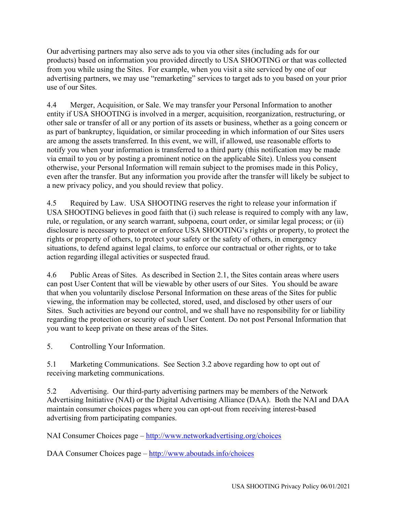Our advertising partners may also serve ads to you via other sites (including ads for our products) based on information you provided directly to USA SHOOTING or that was collected from you while using the Sites. For example, when you visit a site serviced by one of our advertising partners, we may use "remarketing" services to target ads to you based on your prior use of our Sites.

4.4 Merger, Acquisition, or Sale. We may transfer your Personal Information to another entity if USA SHOOTING is involved in a merger, acquisition, reorganization, restructuring, or other sale or transfer of all or any portion of its assets or business, whether as a going concern or as part of bankruptcy, liquidation, or similar proceeding in which information of our Sites users are among the assets transferred. In this event, we will, if allowed, use reasonable efforts to notify you when your information is transferred to a third party (this notification may be made via email to you or by posting a prominent notice on the applicable Site). Unless you consent otherwise, your Personal Information will remain subject to the promises made in this Policy, even after the transfer. But any information you provide after the transfer will likely be subject to a new privacy policy, and you should review that policy.

4.5 Required by Law. USA SHOOTING reserves the right to release your information if USA SHOOTING believes in good faith that (i) such release is required to comply with any law, rule, or regulation, or any search warrant, subpoena, court order, or similar legal process; or (ii) disclosure is necessary to protect or enforce USA SHOOTING's rights or property, to protect the rights or property of others, to protect your safety or the safety of others, in emergency situations, to defend against legal claims, to enforce our contractual or other rights, or to take action regarding illegal activities or suspected fraud.

4.6 Public Areas of Sites. As described in Section 2.1, the Sites contain areas where users can post User Content that will be viewable by other users of our Sites. You should be aware that when you voluntarily disclose Personal Information on these areas of the Sites for public viewing, the information may be collected, stored, used, and disclosed by other users of our Sites. Such activities are beyond our control, and we shall have no responsibility for or liability regarding the protection or security of such User Content. Do not post Personal Information that you want to keep private on these areas of the Sites.

5. Controlling Your Information.

5.1 Marketing Communications. See Section 3.2 above regarding how to opt out of receiving marketing communications.

5.2 Advertising. Our third-party advertising partners may be members of the Network Advertising Initiative (NAI) or the Digital Advertising Alliance (DAA). Both the NAI and DAA maintain consumer choices pages where you can opt-out from receiving interest-based advertising from participating companies.

NAI Consumer Choices page – http://www.networkadvertising.org/choices

DAA Consumer Choices page – http://www.aboutads.info/choices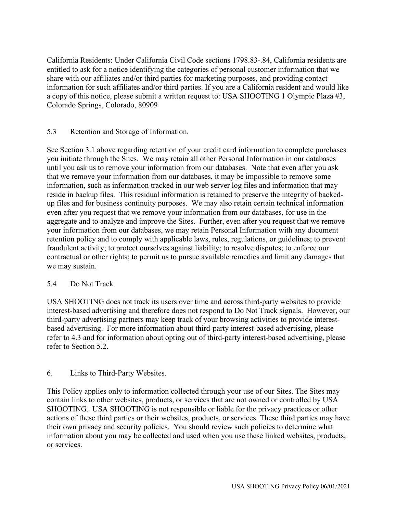California Residents: Under California Civil Code sections 1798.83-.84, California residents are entitled to ask for a notice identifying the categories of personal customer information that we share with our affiliates and/or third parties for marketing purposes, and providing contact information for such affiliates and/or third parties. If you are a California resident and would like a copy of this notice, please submit a written request to: USA SHOOTING 1 Olympic Plaza #3, Colorado Springs, Colorado, 80909

### 5.3 Retention and Storage of Information.

See Section 3.1 above regarding retention of your credit card information to complete purchases you initiate through the Sites. We may retain all other Personal Information in our databases until you ask us to remove your information from our databases. Note that even after you ask that we remove your information from our databases, it may be impossible to remove some information, such as information tracked in our web server log files and information that may reside in backup files. This residual information is retained to preserve the integrity of backedup files and for business continuity purposes. We may also retain certain technical information even after you request that we remove your information from our databases, for use in the aggregate and to analyze and improve the Sites. Further, even after you request that we remove your information from our databases, we may retain Personal Information with any document retention policy and to comply with applicable laws, rules, regulations, or guidelines; to prevent fraudulent activity; to protect ourselves against liability; to resolve disputes; to enforce our contractual or other rights; to permit us to pursue available remedies and limit any damages that we may sustain.

### 5.4 Do Not Track

USA SHOOTING does not track its users over time and across third-party websites to provide interest-based advertising and therefore does not respond to Do Not Track signals. However, our third-party advertising partners may keep track of your browsing activities to provide interestbased advertising. For more information about third-party interest-based advertising, please refer to 4.3 and for information about opting out of third-party interest-based advertising, please refer to Section 5.2.

### 6. Links to Third-Party Websites.

This Policy applies only to information collected through your use of our Sites. The Sites may contain links to other websites, products, or services that are not owned or controlled by USA SHOOTING. USA SHOOTING is not responsible or liable for the privacy practices or other actions of these third parties or their websites, products, or services. These third parties may have their own privacy and security policies. You should review such policies to determine what information about you may be collected and used when you use these linked websites, products, or services.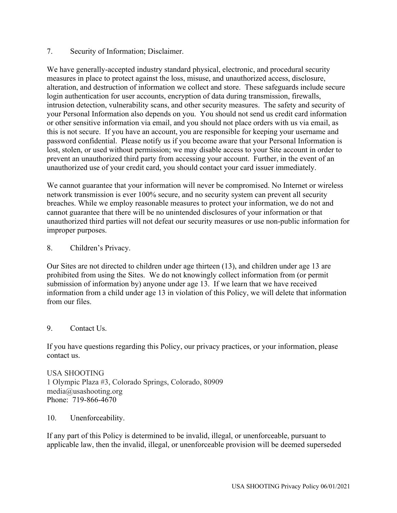#### 7. Security of Information; Disclaimer.

We have generally-accepted industry standard physical, electronic, and procedural security measures in place to protect against the loss, misuse, and unauthorized access, disclosure, alteration, and destruction of information we collect and store. These safeguards include secure login authentication for user accounts, encryption of data during transmission, firewalls, intrusion detection, vulnerability scans, and other security measures. The safety and security of your Personal Information also depends on you. You should not send us credit card information or other sensitive information via email, and you should not place orders with us via email, as this is not secure. If you have an account, you are responsible for keeping your username and password confidential. Please notify us if you become aware that your Personal Information is lost, stolen, or used without permission; we may disable access to your Site account in order to prevent an unauthorized third party from accessing your account. Further, in the event of an unauthorized use of your credit card, you should contact your card issuer immediately.

We cannot guarantee that your information will never be compromised. No Internet or wireless network transmission is ever 100% secure, and no security system can prevent all security breaches. While we employ reasonable measures to protect your information, we do not and cannot guarantee that there will be no unintended disclosures of your information or that unauthorized third parties will not defeat our security measures or use non-public information for improper purposes.

8. Children's Privacy.

Our Sites are not directed to children under age thirteen (13), and children under age 13 are prohibited from using the Sites. We do not knowingly collect information from (or permit submission of information by) anyone under age 13. If we learn that we have received information from a child under age 13 in violation of this Policy, we will delete that information from our files.

9. Contact Us.

If you have questions regarding this Policy, our privacy practices, or your information, please contact us.

USA SHOOTING 1 Olympic Plaza #3, Colorado Springs, Colorado, 80909 media@usashooting.org Phone: 719-866-4670

10. Unenforceability.

If any part of this Policy is determined to be invalid, illegal, or unenforceable, pursuant to applicable law, then the invalid, illegal, or unenforceable provision will be deemed superseded